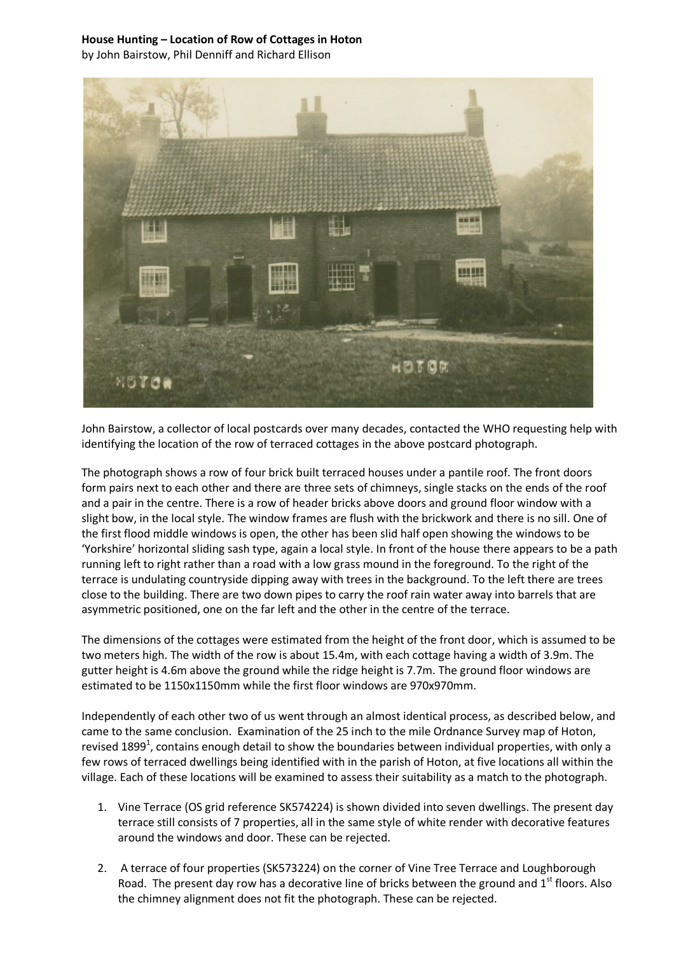## **House Hunting – Location of Row of Cottages in Hoton**

by John Bairstow, Phil Denniff and Richard Ellison



John Bairstow, a collector of local postcards over many decades, contacted the WHO requesting help with identifying the location of the row of terraced cottages in the above postcard photograph.

The photograph shows a row of four brick built terraced houses under a pantile roof. The front doors form pairs next to each other and there are three sets of chimneys, single stacks on the ends of the roof and a pair in the centre. There is a row of header bricks above doors and ground floor window with a slight bow, in the local style. The window frames are flush with the brickwork and there is no sill. One of the first flood middle windows is open, the other has been slid half open showing the windows to be 'Yorkshire' horizontal sliding sash type, again a local style. In front of the house there appears to be a path running left to right rather than a road with a low grass mound in the foreground. To the right of the terrace is undulating countryside dipping away with trees in the background. To the left there are trees close to the building. There are two down pipes to carry the roof rain water away into barrels that are asymmetric positioned, one on the far left and the other in the centre of the terrace.

The dimensions of the cottages were estimated from the height of the front door, which is assumed to be two meters high. The width of the row is about 15.4m, with each cottage having a width of 3.9m. The gutter height is 4.6m above the ground while the ridge height is 7.7m. The ground floor windows are estimated to be 1150x1150mm while the first floor windows are 970x970mm.

Independently of each other two of us went through an almost identical process, as described below, and came to the same conclusion. Examination of the 25 inch to the mile Ordnance Survey map of Hoton, revised 1899<sup>1</sup>, contains enough detail to show the boundaries between individual properties, with only a few rows of terraced dwellings being identified with in the parish of Hoton, at five locations all within the village. Each of these locations will be examined to assess their suitability as a match to the photograph.

- 1. Vine Terrace (OS grid reference SK574224) is shown divided into seven dwellings. The present day terrace still consists of 7 properties, all in the same style of white render with decorative features around the windows and door. These can be rejected.
- 2. A terrace of four properties (SK573224) on the corner of Vine Tree Terrace and Loughborough Road. The present day row has a decorative line of bricks between the ground and  $1<sup>st</sup>$  floors. Also the chimney alignment does not fit the photograph. These can be rejected.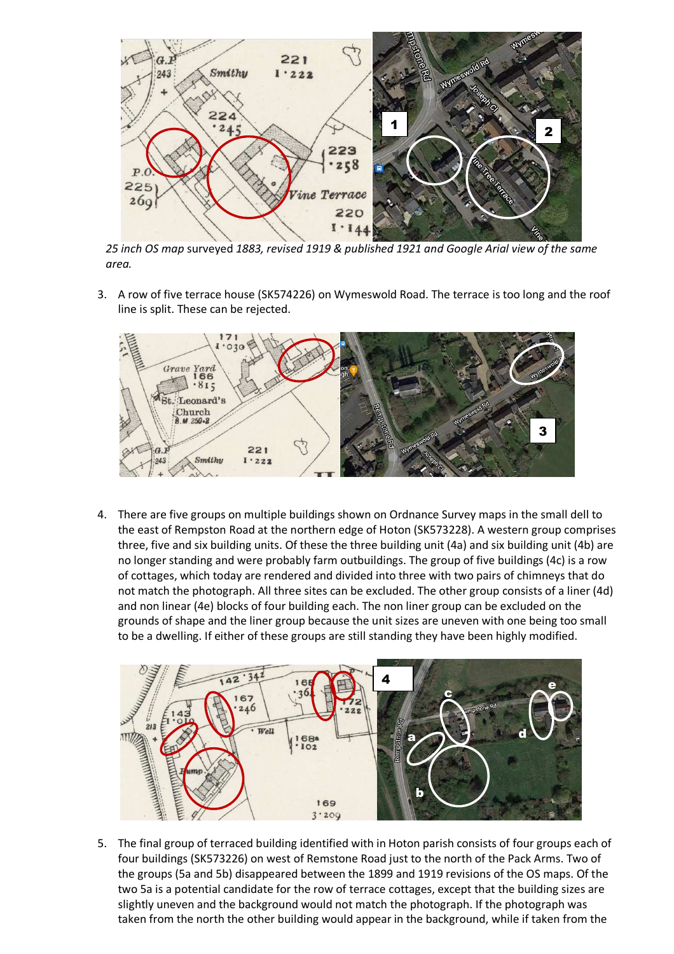

*25 inch OS map* surveyed *1883, revised 1919 & published 1921 and Google Arial view of the same area.* 

3. A row of five terrace house (SK574226) on Wymeswold Road. The terrace is too long and the roof line is split. These can be rejected.



4. There are five groups on multiple buildings shown on Ordnance Survey maps in the small dell to the east of Rempston Road at the northern edge of Hoton (SK573228). A western group comprises three, five and six building units. Of these the three building unit (4a) and six building unit (4b) are no longer standing and were probably farm outbuildings. The group of five buildings (4c) is a row of cottages, which today are rendered and divided into three with two pairs of chimneys that do not match the photograph. All three sites can be excluded. The other group consists of a liner (4d) and non linear (4e) blocks of four building each. The non liner group can be excluded on the grounds of shape and the liner group because the unit sizes are uneven with one being too small to be a dwelling. If either of these groups are still standing they have been highly modified.



5. The final group of terraced building identified with in Hoton parish consists of four groups each of four buildings (SK573226) on west of Remstone Road just to the north of the Pack Arms. Two of the groups (5a and 5b) disappeared between the 1899 and 1919 revisions of the OS maps. Of the two 5a is a potential candidate for the row of terrace cottages, except that the building sizes are slightly uneven and the background would not match the photograph. If the photograph was taken from the north the other building would appear in the background, while if taken from the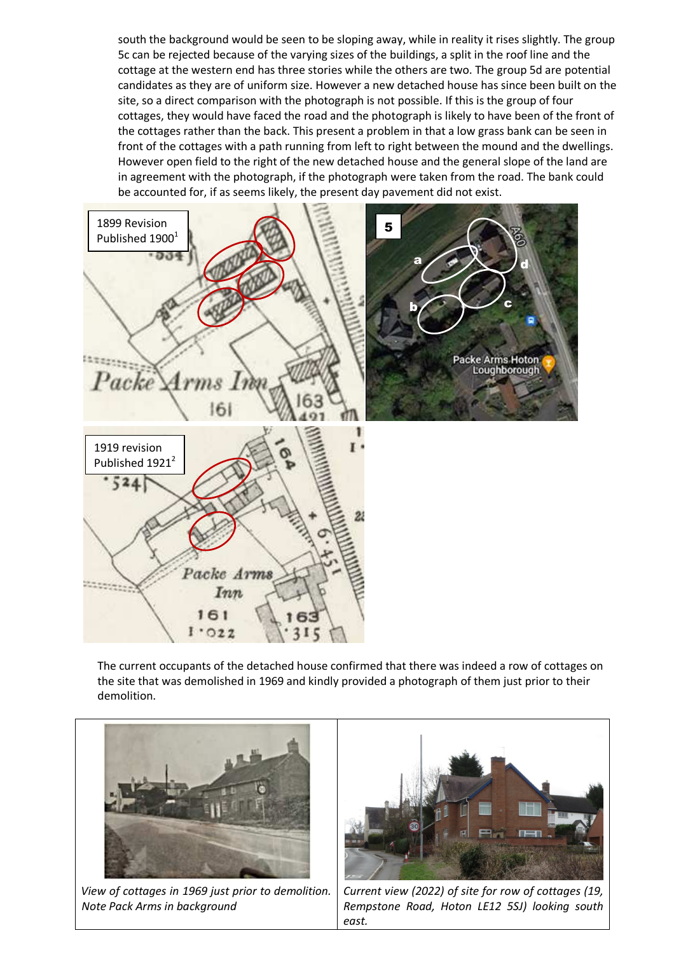south the background would be seen to be sloping away, while in reality it rises slightly. The group 5c can be rejected because of the varying sizes of the buildings, a split in the roof line and the cottage at the western end has three stories while the others are two. The group 5d are potential candidates as they are of uniform size. However a new detached house has since been built on the site, so a direct comparison with the photograph is not possible. If this is the group of four cottages, they would have faced the road and the photograph is likely to have been of the front of the cottages rather than the back. This present a problem in that a low grass bank can be seen in front of the cottages with a path running from left to right between the mound and the dwellings. However open field to the right of the new detached house and the general slope of the land are in agreement with the photograph, if the photograph were taken from the road. The bank could be accounted for, if as seems likely, the present day pavement did not exist.



The current occupants of the detached house confirmed that there was indeed a row of cottages on the site that was demolished in 1969 and kindly provided a photograph of them just prior to their demolition.



*View of cottages in 1969 just prior to demolition. Note Pack Arms in background* 



*Current view (2022) of site for row of cottages (19, Rempstone Road, Hoton LE12 5SJ) looking south east.*